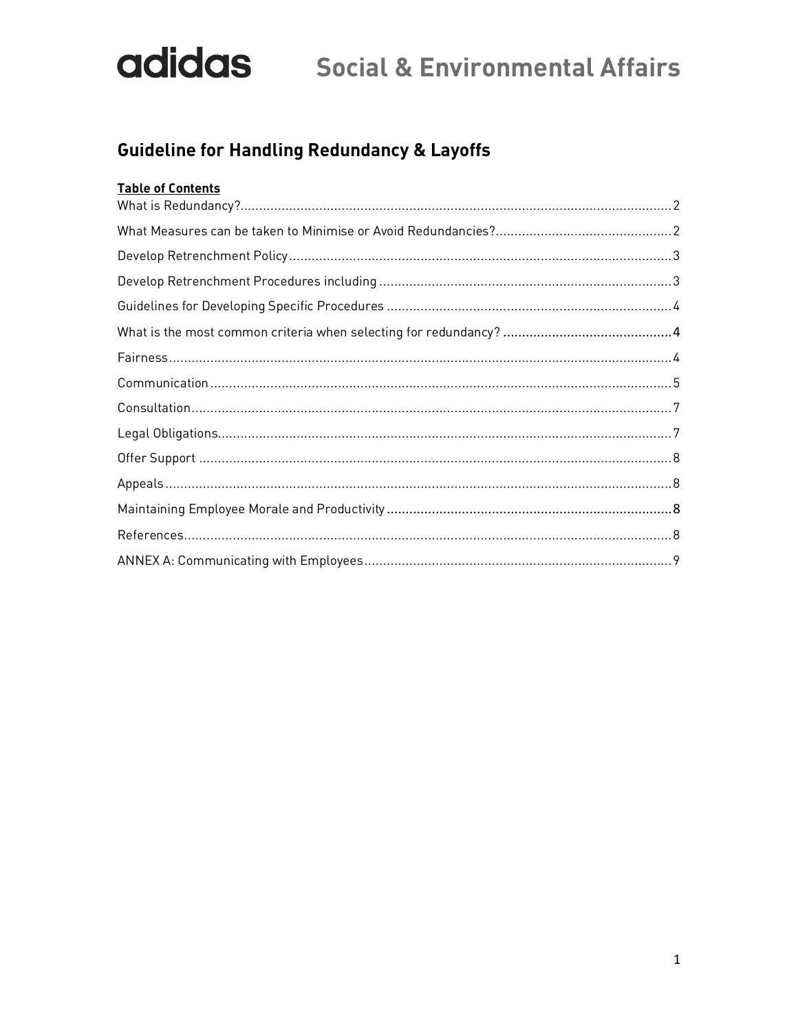## **Guideline for Handling Redundancy & Layoffs**

| <b>Table of Contents</b> |  |
|--------------------------|--|
|                          |  |
|                          |  |
|                          |  |
|                          |  |
|                          |  |
|                          |  |
|                          |  |
|                          |  |
|                          |  |
|                          |  |
|                          |  |
|                          |  |
|                          |  |
|                          |  |
|                          |  |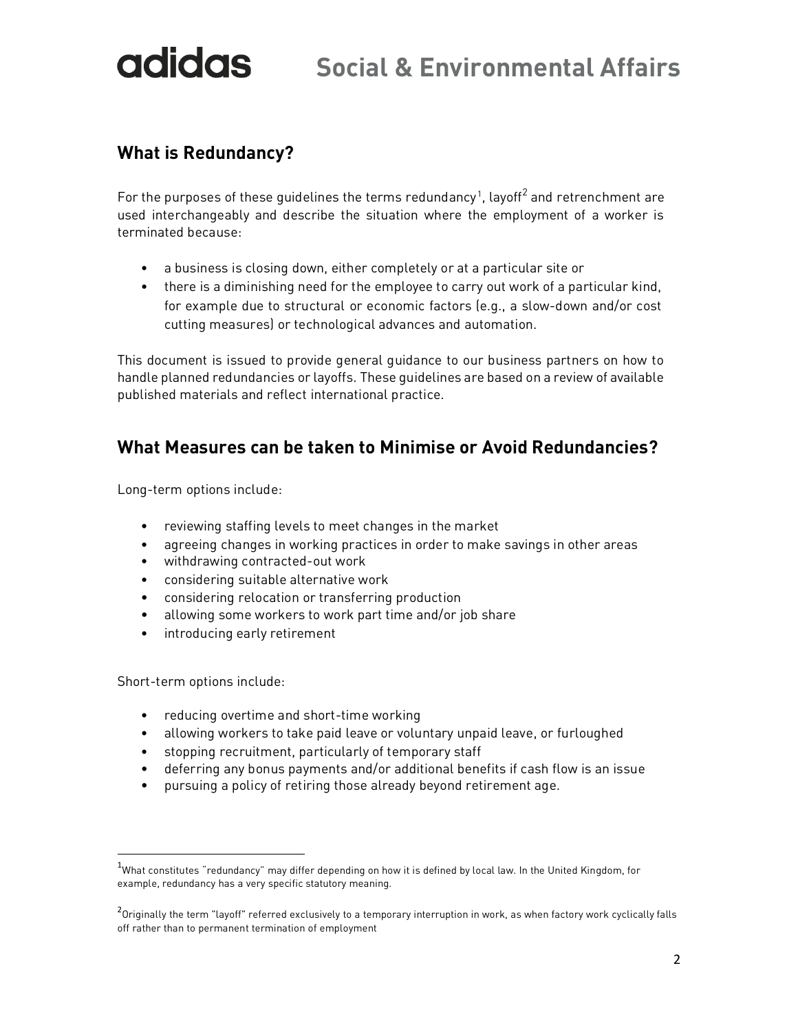### **What is Redundancy?**

For the purposes of these guidelines the terms redundancy $^1$ , layoff $^2$  and retrenchment are used interchangeably and describe the situation where the employment of a worker is terminated because:

- a business is closing down, either completely or at a particular site or
- there is a diminishing need for the employee to carry out work of a particular kind, for example due to structural or economic factors (e.g., a slow-down and/or cost cutting measures) or technological advances and automation.

This document is issued to provide general guidance to our business partners on how to handle planned redundancies or layoffs. These guidelines are based on a review of available published materials and reflect international practice.

#### **What Measures can be taken to Minimise or Avoid Redundancies?**

Long-term options include:

- reviewing staffing levels to meet changes in the market
- agreeing changes in working practices in order to make savings in other areas
- withdrawing contracted-out work
- considering suitable alternative work
- considering relocation or transferring production
- allowing some workers to work part time and/or job share
- introducing early retirement

Short-term options include:

- reducing overtime and short-time working
- allowing workers to take paid leave or voluntary unpaid leave, or furloughed
- stopping recruitment, particularly of temporary staff
- deferring any bonus payments and/or additional benefits if cash flow is an issue
- pursuing a policy of retiring those already beyond retirement age.

 $1$ What constitutes "redundancy" may differ depending on how it is defined by local law. In the United Kingdom, for example, redundancy has a very specific statutory meaning.

<sup>&</sup>lt;sup>2</sup>Originally the term "layoff" referred exclusively to a temporary interruption in work, as when factory work cyclically falls off rather than to permanent termination of employment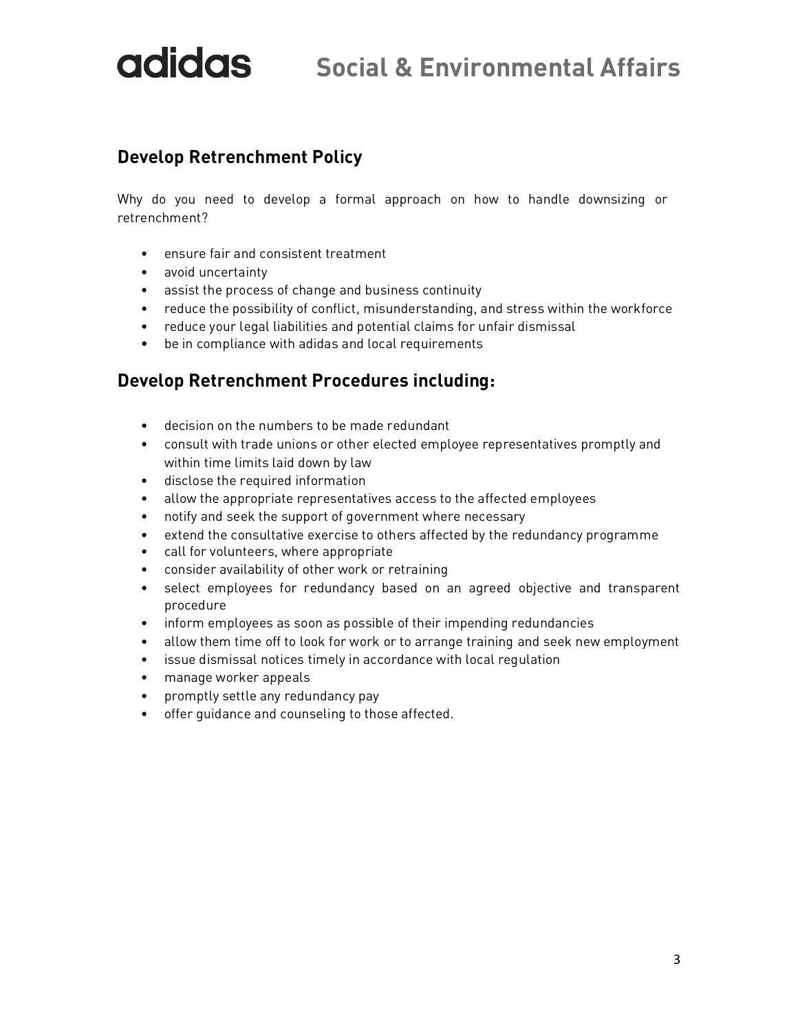## **Social & Environmental Affairs**

#### **Develop Retrenchment Policy**

Why do you need to develop a formal approach on how to handle downsizing or retrenchment?

- ensure fair and consistent treatment
- avoid uncertainty
- assist the process of change and business continuity
- reduce the possibility of conflict, misunderstanding, and stress within the workforce
- reduce your legal liabilities and potential claims for unfair dismissal
- be in compliance with adidas and local requirements

#### **Develop Retrenchment Procedures including:**

- decision on the numbers to be made redundant
- consult with trade unions or other elected employee representatives promptly and within time limits laid down by law
- disclose the required information
- allow the appropriate representatives access to the affected employees
- notify and seek the support of government where necessary
- extend the consultative exercise to others affected by the redundancy programme
- call for volunteers, where appropriate
- consider availability of other work or retraining
- select employees for redundancy based on an agreed objective and transparent procedure
- inform employees as soon as possible of their impending redundancies
- allow them time off to look for work or to arrange training and seek new employment
- issue dismissal notices timely in accordance with local regulation
- manage worker appeals
- promptly settle any redundancy pay
- offer guidance and counseling to those affected.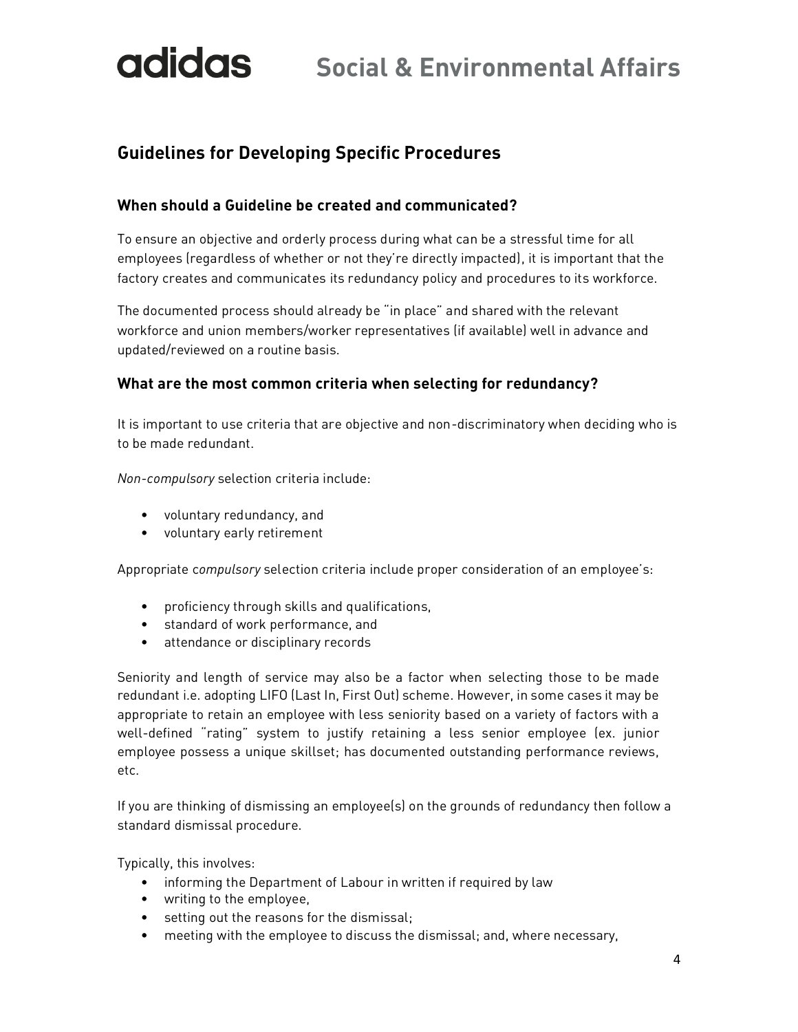### **Guidelines for Developing Specific Procedures**

#### **When should a Guideline be created and communicated?**

To ensure an objective and orderly process during what can be a stressful time for all employees (regardless of whether or not they're directly impacted), it is important that the factory creates and communicates its redundancy policy and procedures to its workforce.

The documented process should already be "in place" and shared with the relevant workforce and union members/worker representatives (if available) well in advance and updated/reviewed on a routine basis.

#### **What are the most common criteria when selecting for redundancy?**

It is important to use criteria that are objective and non-discriminatory when deciding who is to be made redundant.

*Non-compulsory* selection criteria include:

- voluntary redundancy, and
- voluntary early retirement

Appropriate c*ompulsory* selection criteria include proper consideration of an employee's:

- proficiency through skills and qualifications,
- standard of work performance, and
- attendance or disciplinary records

Seniority and length of service may also be a factor when selecting those to be made redundant i.e. adopting LIFO (Last In, First Out) scheme. However, in some cases it may be appropriate to retain an employee with less seniority based on a variety of factors with a well-defined "rating" system to justify retaining a less senior employee (ex. junior employee possess a unique skillset; has documented outstanding performance reviews, etc.

If you are thinking of dismissing an employee(s) on the grounds of redundancy then follow a standard dismissal procedure.

Typically, this involves:

- informing the Department of Labour in written if required by law
- writing to the employee,
- setting out the reasons for the dismissal;
- meeting with the employee to discuss the dismissal; and, where necessary,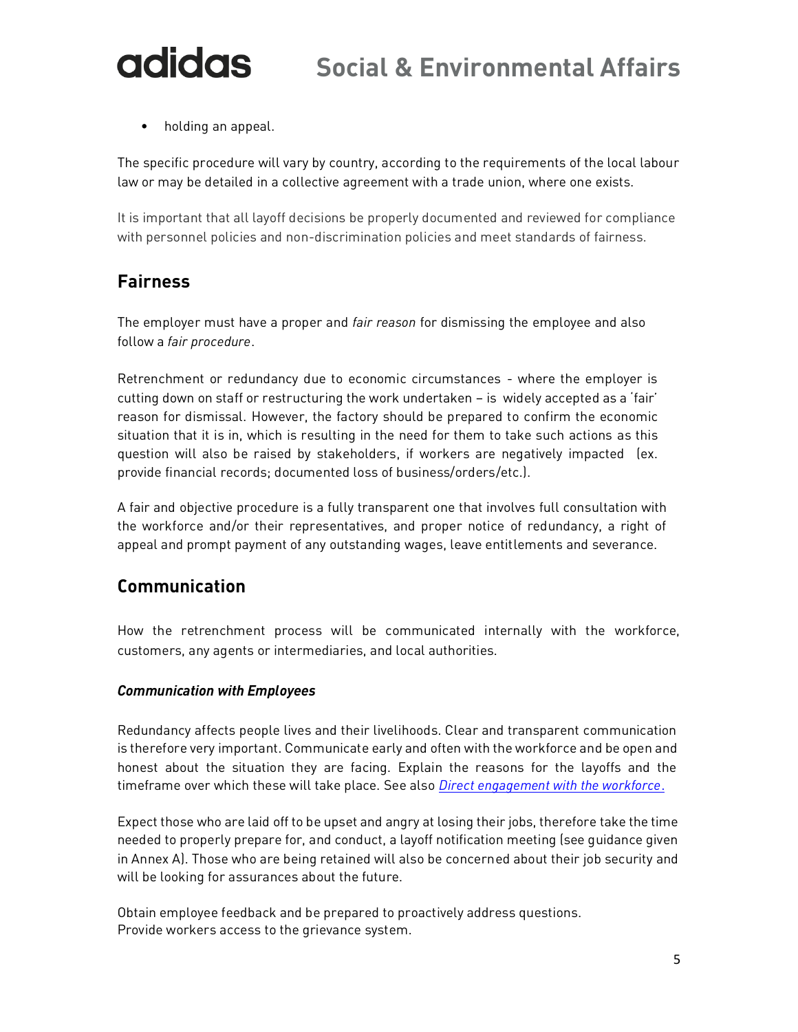• holding an appeal.

The specific procedure will vary by country, according to the requirements of the local labour law or may be detailed in a collective agreement with a trade union, where one exists.

It is important that all layoff decisions be properly documented and reviewed for compliance with personnel policies and non-discrimination policies and meet standards of fairness.

### **Fairness**

The employer must have a proper and *fair reason* for dismissing the employee and also follow a *fair procedure*.

Retrenchment or redundancy due to economic circumstances - where the employer is cutting down on staff or restructuring the work undertaken – is widely accepted as a 'fair' reason for dismissal. However, the factory should be prepared to confirm the economic situation that it is in, which is resulting in the need for them to take such actions as this question will also be raised by stakeholders, if workers are negatively impacted (ex. provide financial records; documented loss of business/orders/etc.).

A fair and objective procedure is a fully transparent one that involves full consultation with the workforce and/or their representatives, and proper notice of redundancy, a right of appeal and prompt payment of any outstanding wages, leave entitlements and severance.

#### **Communication**

How the retrenchment process will be communicated internally with the workforce, customers, any agents or intermediaries, and local authorities.

#### *Communication with Employees*

Redundancy affects people lives and their livelihoods. Clear and transparent communication is therefore very important. Communicate early and often with the workforce and be open and honest about the situation they are facing. Explain the reasons for the layoffs and the timeframe over which these will take place. See also *Direct engagement with the workforce*.

Expect those who are laid off to be upset and angry at losing their jobs, therefore take the time needed to properly prepare for, and conduct, a layoff notification meeting (see guidance given in Annex A). Those who are being retained will also be concerned about their job security and will be looking for assurances about the future.

Obtain employee feedback and be prepared to proactively address questions. Provide workers access to the grievance system.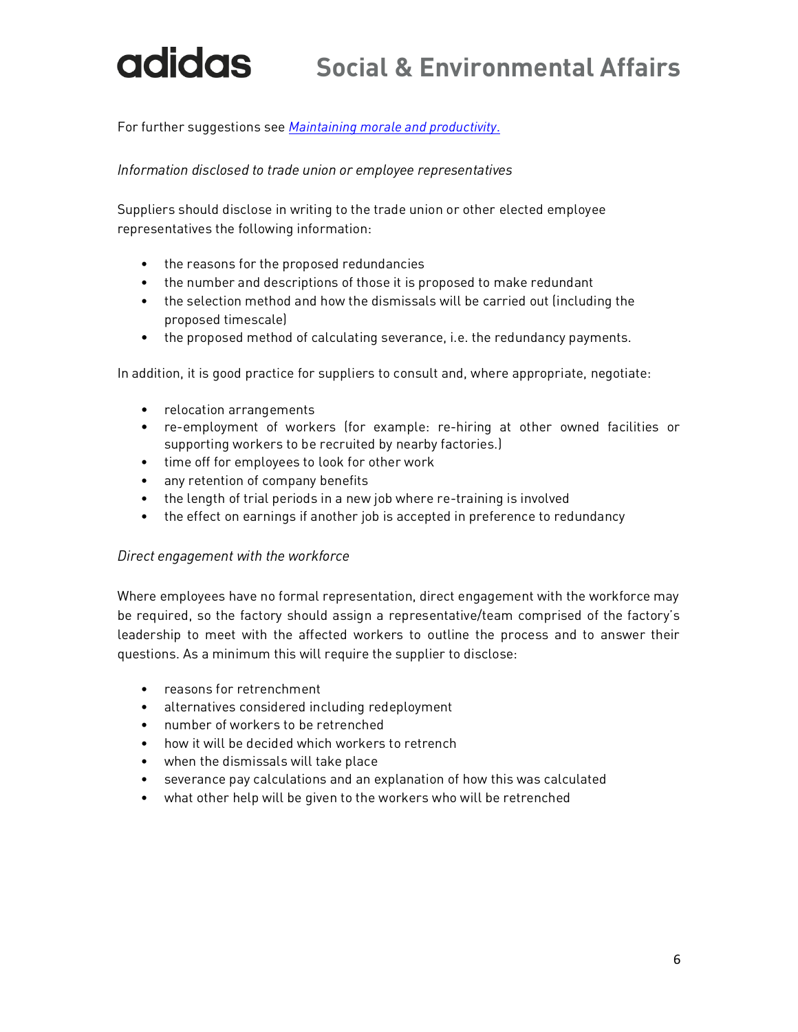For further suggestions see *Maintaining morale and productivity*.

#### *Information disclosed to trade union or employee representatives*

Suppliers should disclose in writing to the trade union or other elected employee representatives the following information:

- the reasons for the proposed redundancies
- the number and descriptions of those it is proposed to make redundant
- the selection method and how the dismissals will be carried out (including the proposed timescale)
- the proposed method of calculating severance, i.e. the redundancy payments.

In addition, it is good practice for suppliers to consult and, where appropriate, negotiate:

- relocation arrangements
- re-employment of workers (for example: re-hiring at other owned facilities or supporting workers to be recruited by nearby factories.)
- time off for employees to look for other work
- any retention of company benefits
- the length of trial periods in a new job where re-training is involved
- the effect on earnings if another job is accepted in preference to redundancy

#### *Direct engagement with the workforce*

Where employees have no formal representation, direct engagement with the workforce may be required, so the factory should assign a representative/team comprised of the factory's leadership to meet with the affected workers to outline the process and to answer their questions. As a minimum this will require the supplier to disclose:

- reasons for retrenchment
- alternatives considered including redeployment
- number of workers to be retrenched
- how it will be decided which workers to retrench
- when the dismissals will take place
- severance pay calculations and an explanation of how this was calculated
- what other help will be given to the workers who will be retrenched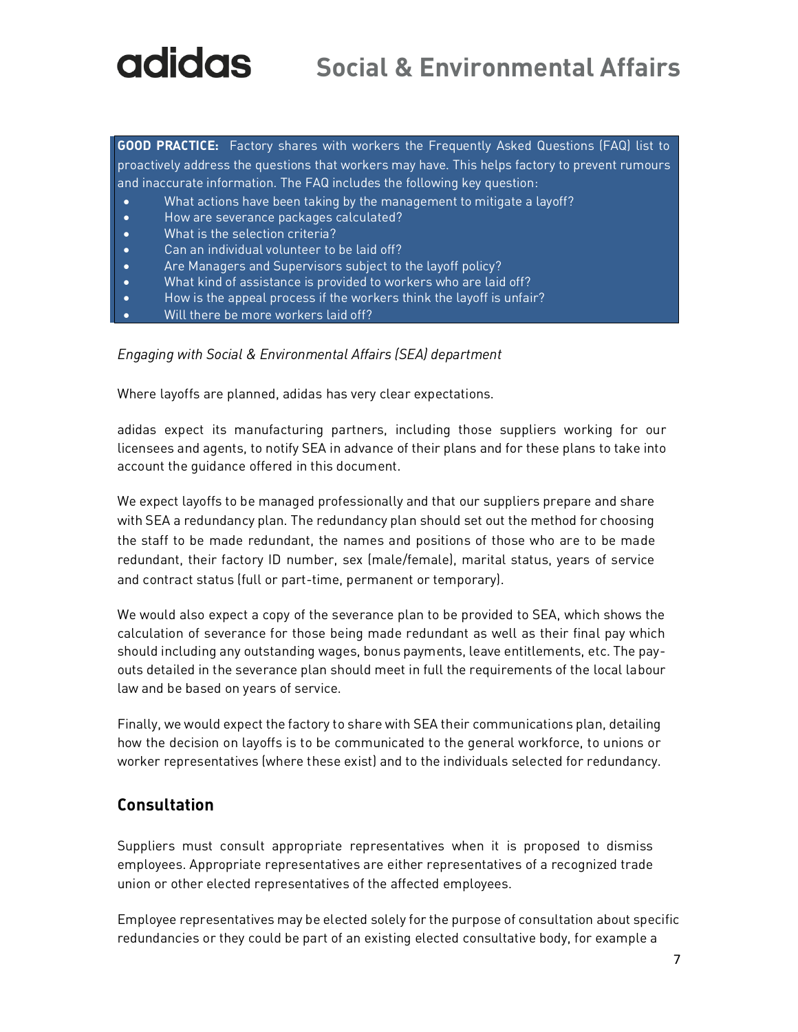**GOOD PRACTICE:** Factory shares with workers the Frequently Asked Questions (FAQ) list to proactively address the questions that workers may have. This helps factory to prevent rumours and inaccurate information. The FAQ includes the following key question:

- What actions have been taking by the management to mitigate a layoff?
- How are severance packages calculated?
- What is the selection criteria?
- Can an individual volunteer to be laid off?
- Are Managers and Supervisors subject to the layoff policy?
- What kind of assistance is provided to workers who are laid off?
- How is the appeal process if the workers think the layoff is unfair?
- Will there be more workers laid off?

*Engaging with Social & Environmental Affairs (SEA) department*

Where layoffs are planned, adidas has very clear expectations.

adidas expect its manufacturing partners, including those suppliers working for our licensees and agents, to notify SEA in advance of their plans and for these plans to take into account the guidance offered in this document.

We expect layoffs to be managed professionally and that our suppliers prepare and share with SEA a redundancy plan. The redundancy plan should set out the method for choosing the staff to be made redundant, the names and positions of those who are to be made redundant, their factory ID number, sex (male/female), marital status, years of service and contract status (full or part-time, permanent or temporary).

We would also expect a copy of the severance plan to be provided to SEA, which shows the calculation of severance for those being made redundant as well as their final pay which should including any outstanding wages, bonus payments, leave entitlements, etc. The payouts detailed in the severance plan should meet in full the requirements of the local labour law and be based on years of service.

Finally, we would expect the factory to share with SEA their communications plan, detailing how the decision on layoffs is to be communicated to the general workforce, to unions or worker representatives (where these exist) and to the individuals selected for redundancy.

#### **Consultation**

Suppliers must consult appropriate representatives when it is proposed to dismiss employees. Appropriate representatives are either representatives of a recognized trade union or other elected representatives of the affected employees.

Employee representatives may be elected solely for the purpose of consultation about specific redundancies or they could be part of an existing elected consultative body, for example a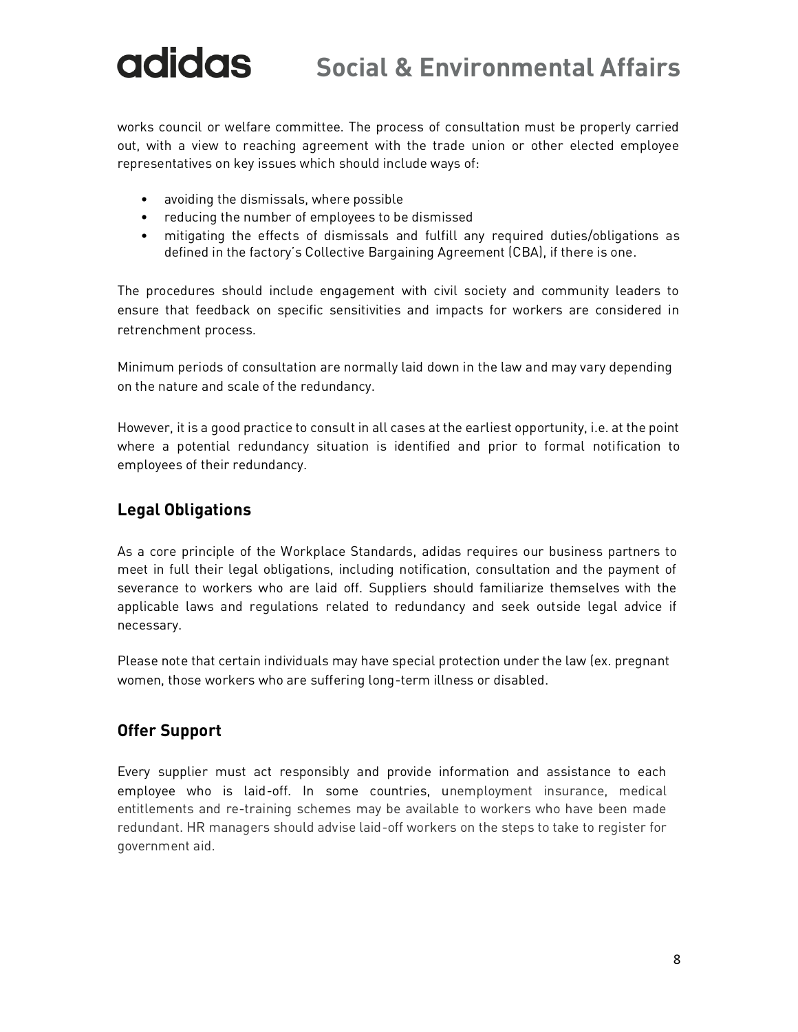works council or welfare committee. The process of consultation must be properly carried out, with a view to reaching agreement with the trade union or other elected employee representatives on key issues which should include ways of:

- avoiding the dismissals, where possible
- reducing the number of employees to be dismissed
- mitigating the effects of dismissals and fulfill any required duties/obligations as defined in the factory's Collective Bargaining Agreement (CBA), if there is one.

The procedures should include engagement with civil society and community leaders to ensure that feedback on specific sensitivities and impacts for workers are considered in retrenchment process.

Minimum periods of consultation are normally laid down in the law and may vary depending on the nature and scale of the redundancy.

However, it is a good practice to consult in all cases at the earliest opportunity, i.e. at the point where a potential redundancy situation is identified and prior to formal notification to employees of their redundancy.

#### **Legal Obligations**

As a core principle of the Workplace Standards, adidas requires our business partners to meet in full their legal obligations, including notification, consultation and the payment of severance to workers who are laid off. Suppliers should familiarize themselves with the applicable laws and regulations related to redundancy and seek outside legal advice if necessary.

Please note that certain individuals may have special protection under the law (ex. pregnant women, those workers who are suffering long-term illness or disabled.

#### **Offer Support**

Every supplier must act responsibly and provide information and assistance to each employee who is laid-off. In some countries, unemployment insurance, medical entitlements and re-training schemes may be available to workers who have been made redundant. HR managers should advise laid-off workers on the steps to take to register for government aid.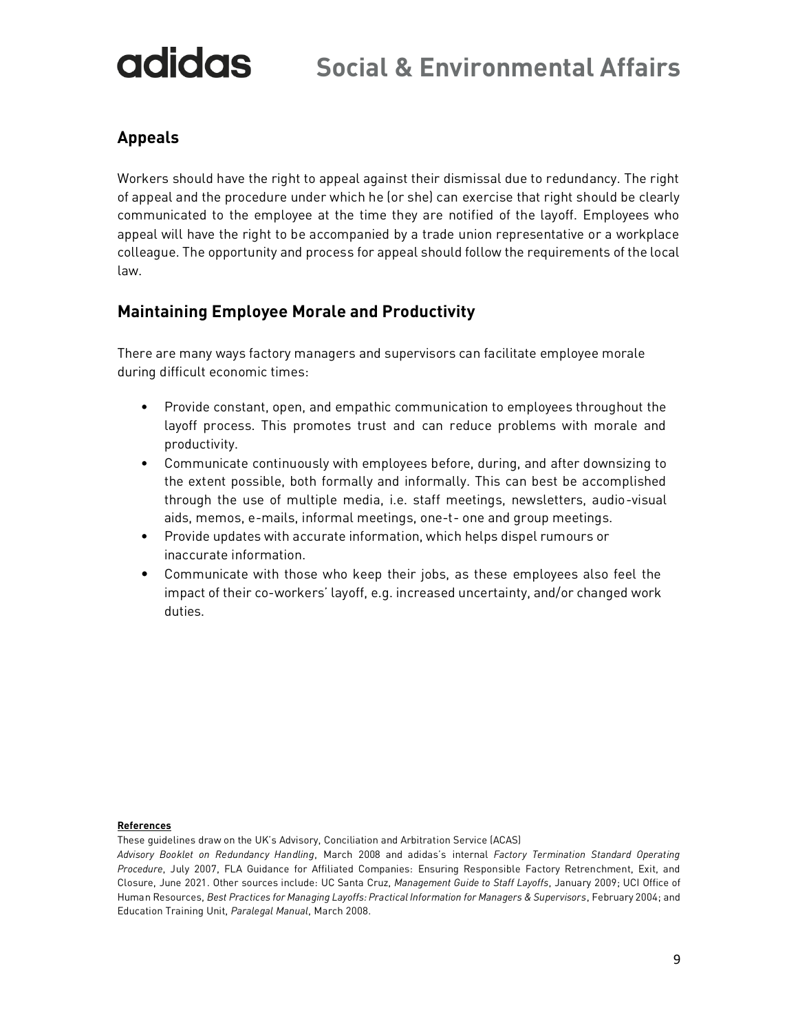#### **Appeals**

Workers should have the right to appeal against their dismissal due to redundancy. The right of appeal and the procedure under which he (or she) can exercise that right should be clearly communicated to the employee at the time they are notified of the layoff. Employees who appeal will have the right to be accompanied by a trade union representative or a workplace colleague. The opportunity and process for appeal should follow the requirements of the local law.

#### **Maintaining Employee Morale and Productivity**

There are many ways factory managers and supervisors can facilitate employee morale during difficult economic times:

- Provide constant, open, and empathic communication to employees throughout the layoff process. This promotes trust and can reduce problems with morale and productivity.
- Communicate continuously with employees before, during, and after downsizing to the extent possible, both formally and informally. This can best be accomplished through the use of multiple media, i.e. staff meetings, newsletters, audio-visual aids, memos, e-mails, informal meetings, one-t- one and group meetings.
- Provide updates with accurate information, which helps dispel rumours or inaccurate information.
- Communicate with those who keep their jobs, as these employees also feel the impact of their co-workers' layoff, e.g. increased uncertainty, and/or changed work duties.

#### **References**

These guidelines draw on the UK's Advisory, Conciliation and Arbitration Service (ACAS)

*Advisory Booklet on Redundancy Handling*, March 2008 and adidas's internal *Factory Termination Standard Operating Procedure*, July 2007, FLA Guidance for Affiliated Companies: Ensuring Responsible Factory Retrenchment, Exit, and Closure, June 2021. Other sources include: UC Santa Cruz, *Management Guide to Staff Layoffs*, January 2009; UCI Office of Human Resources, *Best Practices for Managing Layoffs: Practical Information for Managers & Supervisors*, February 2004; and Education Training Unit, *Paralegal Manual*, March 2008.